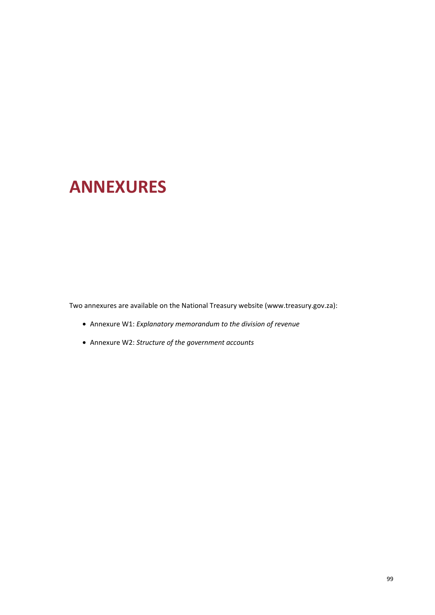# **ANNEXURES**

Two annexures are available on the National Treasury website (www.treasury.gov.za):

- Annexure W1: *Explanatory memorandum to the division of revenue*
- Annexure W2: *Structure of the government accounts*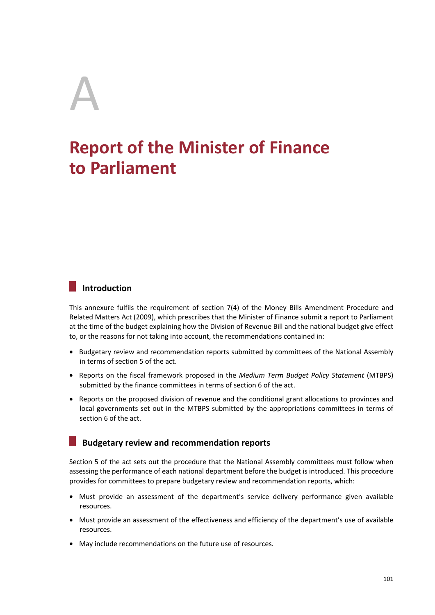# A **Report of the Minister of Finance to Parliament**

# **Introduction**

This annexure fulfils the requirement of section 7(4) of the Money Bills Amendment Procedure and Related Matters Act (2009), which prescribes that the Minister of Finance submit a report to Parliament at the time of the budget explaining how the Division of Revenue Bill and the national budget give effect to, or the reasons for not taking into account, the recommendations contained in:

- Budgetary review and recommendation reports submitted by committees of the National Assembly in terms of section 5 of the act.
- Reports on the fiscal framework proposed in the *Medium Term Budget Policy Statement* (MTBPS) submitted by the finance committees in terms of section 6 of the act.
- Reports on the proposed division of revenue and the conditional grant allocations to provinces and local governments set out in the MTBPS submitted by the appropriations committees in terms of section 6 of the act.

#### **Budgetary review and recommendation reports**

Section 5 of the act sets out the procedure that the National Assembly committees must follow when assessing the performance of each national department before the budget is introduced. This procedure provides for committees to prepare budgetary review and recommendation reports, which:

- Must provide an assessment of the department's service delivery performance given available resources.
- Must provide an assessment of the effectiveness and efficiency of the department's use of available resources.
- May include recommendations on the future use of resources.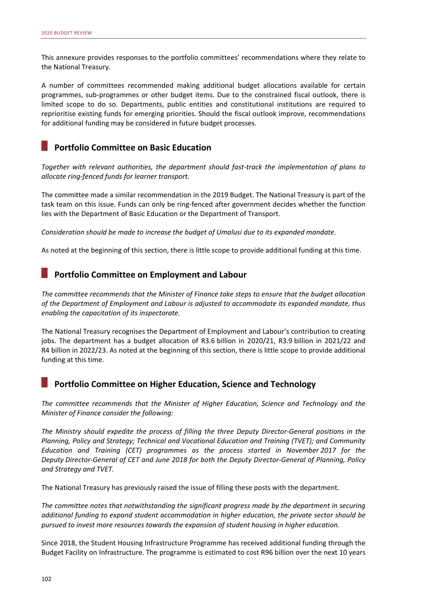This annexure provides responses to the portfolio committees' recommendations where they relate to the National Treasury.

A number of committees recommended making additional budget allocations available for certain programmes, sub-programmes or other budget items. Due to the constrained fiscal outlook, there is limited scope to do so. Departments, public entities and constitutional institutions are required to reprioritise existing funds for emerging priorities. Should the fiscal outlook improve, recommendations for additional funding may be considered in future budget processes.

#### **Portfolio Committee on Basic Education**

*Together with relevant authorities, the department should fast-track the implementation of plans to allocate ring-fenced funds for learner transport.* 

The committee made a similar recommendation in the 2019 Budget. The National Treasury is part of the task team on this issue. Funds can only be ring-fenced after government decides whether the function lies with the Department of Basic Education or the Department of Transport.

*Consideration should be made to increase the budget of Umalusi due to its expanded mandate.* 

As noted at the beginning of this section, there is little scope to provide additional funding at this time.

#### **Portfolio Committee on Employment and Labour**

*The committee recommends that the Minister of Finance take steps to ensure that the budget allocation of the Department of Employment and Labour is adjusted to accommodate its expanded mandate, thus enabling the capacitation of its inspectorate.* 

The National Treasury recognises the Department of Employment and Labour's contribution to creating jobs. The department has a budget allocation of R3.6 billion in 2020/21, R3.9 billion in 2021/22 and R4 billion in 2022/23. As noted at the beginning of this section, there is little scope to provide additional funding at this time.

#### **Portfolio Committee on Higher Education, Science and Technology**

*The committee recommends that the Minister of Higher Education, Science and Technology and the Minister of Finance consider the following:* 

*The Ministry should expedite the process of filling the three Deputy Director-General positions in the Planning, Policy and Strategy; Technical and Vocational Education and Training (TVET); and Community Education and Training (CET) programmes as the process started in November 2017 for the Deputy Director-General of CET and June 2018 for both the Deputy Director-General of Planning, Policy and Strategy and TVET.* 

The National Treasury has previously raised the issue of filling these posts with the department.

*The committee notes that notwithstanding the significant progress made by the department in securing additional funding to expand student accommodation in higher education, the private sector should be pursued to invest more resources towards the expansion of student housing in higher education.* 

Since 2018, the Student Housing Infrastructure Programme has received additional funding through the Budget Facility on Infrastructure. The programme is estimated to cost R96 billion over the next 10 years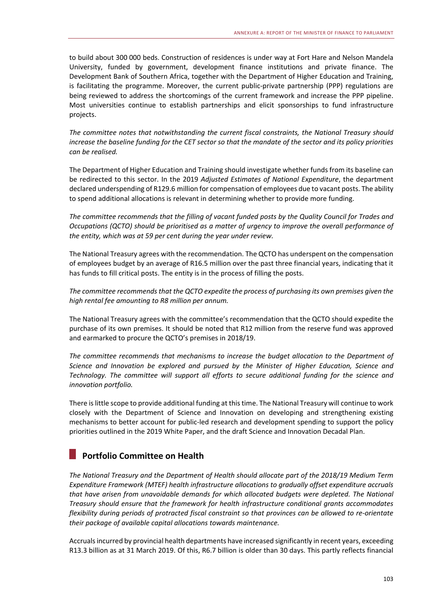to build about 300 000 beds. Construction of residences is under way at Fort Hare and Nelson Mandela University, funded by government, development finance institutions and private finance. The Development Bank of Southern Africa, together with the Department of Higher Education and Training, is facilitating the programme. Moreover, the current public-private partnership (PPP) regulations are being reviewed to address the shortcomings of the current framework and increase the PPP pipeline. Most universities continue to establish partnerships and elicit sponsorships to fund infrastructure projects.

*The committee notes that notwithstanding the current fiscal constraints, the National Treasury should increase the baseline funding for the CET sector so that the mandate of the sector and its policy priorities can be realised.* 

The Department of Higher Education and Training should investigate whether funds from its baseline can be redirected to this sector. In the 2019 *Adjusted Estimates of National Expenditure*, the department declared underspending of R129.6 million for compensation of employees due to vacant posts. The ability to spend additional allocations is relevant in determining whether to provide more funding.

*The committee recommends that the filling of vacant funded posts by the Quality Council for Trades and Occupations (QCTO) should be prioritised as a matter of urgency to improve the overall performance of the entity, which was at 59 per cent during the year under review.* 

The National Treasury agrees with the recommendation. The QCTO has underspent on the compensation of employees budget by an average of R16.5 million over the past three financial years, indicating that it has funds to fill critical posts. The entity is in the process of filling the posts.

*The committee recommends that the QCTO expedite the process of purchasing its own premises given the high rental fee amounting to R8 million per annum.* 

The National Treasury agrees with the committee's recommendation that the QCTO should expedite the purchase of its own premises. It should be noted that R12 million from the reserve fund was approved and earmarked to procure the QCTO's premises in 2018/19.

*The committee recommends that mechanisms to increase the budget allocation to the Department of Science and Innovation be explored and pursued by the Minister of Higher Education, Science and Technology. The committee will support all efforts to secure additional funding for the science and innovation portfolio.* 

There is little scope to provide additional funding at this time. The National Treasury will continue to work closely with the Department of Science and Innovation on developing and strengthening existing mechanisms to better account for public-led research and development spending to support the policy priorities outlined in the 2019 White Paper, and the draft Science and Innovation Decadal Plan.

# **Portfolio Committee on Health**

*The National Treasury and the Department of Health should allocate part of the 2018/19 Medium Term Expenditure Framework (MTEF) health infrastructure allocations to gradually offset expenditure accruals that have arisen from unavoidable demands for which allocated budgets were depleted. The National Treasury should ensure that the framework for health infrastructure conditional grants accommodates flexibility during periods of protracted fiscal constraint so that provinces can be allowed to re-orientate their package of available capital allocations towards maintenance.* 

Accruals incurred by provincial health departments have increased significantly in recent years, exceeding R13.3 billion as at 31 March 2019. Of this, R6.7 billion is older than 30 days. This partly reflects financial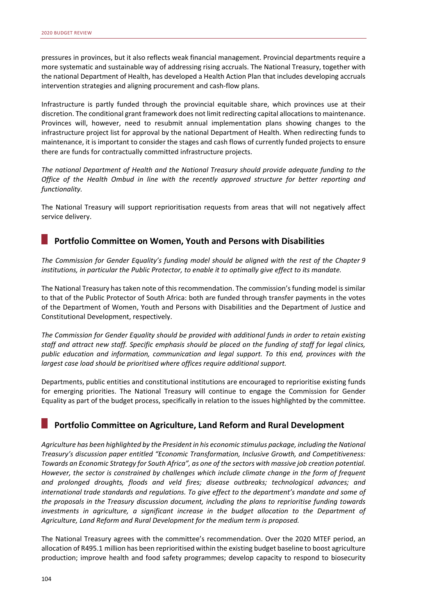pressures in provinces, but it also reflects weak financial management. Provincial departments require a more systematic and sustainable way of addressing rising accruals. The National Treasury, together with the national Department of Health, has developed a Health Action Plan that includes developing accruals intervention strategies and aligning procurement and cash-flow plans.

Infrastructure is partly funded through the provincial equitable share, which provinces use at their discretion. The conditional grant framework does not limit redirecting capital allocations to maintenance. Provinces will, however, need to resubmit annual implementation plans showing changes to the infrastructure project list for approval by the national Department of Health. When redirecting funds to maintenance, it is important to consider the stages and cash flows of currently funded projects to ensure there are funds for contractually committed infrastructure projects.

*The national Department of Health and the National Treasury should provide adequate funding to the Office of the Health Ombud in line with the recently approved structure for better reporting and functionality.* 

The National Treasury will support reprioritisation requests from areas that will not negatively affect service delivery.

#### **Portfolio Committee on Women, Youth and Persons with Disabilities**

*The Commission for Gender Equality's funding model should be aligned with the rest of the Chapter 9 institutions, in particular the Public Protector, to enable it to optimally give effect to its mandate.* 

The National Treasury has taken note of this recommendation. The commission's funding model is similar to that of the Public Protector of South Africa: both are funded through transfer payments in the votes of the Department of Women, Youth and Persons with Disabilities and the Department of Justice and Constitutional Development, respectively.

*The Commission for Gender Equality should be provided with additional funds in order to retain existing staff and attract new staff. Specific emphasis should be placed on the funding of staff for legal clinics, public education and information, communication and legal support. To this end, provinces with the largest case load should be prioritised where offices require additional support.* 

Departments, public entities and constitutional institutions are encouraged to reprioritise existing funds for emerging priorities. The National Treasury will continue to engage the Commission for Gender Equality as part of the budget process, specifically in relation to the issues highlighted by the committee.

#### **Portfolio Committee on Agriculture, Land Reform and Rural Development**

*Agriculture has been highlighted by the President in his economic stimulus package, including the National Treasury's discussion paper entitled "Economic Transformation, Inclusive Growth, and Competitiveness: Towards an Economic Strategy for South Africa", as one of the sectors with massive job creation potential. However, the sector is constrained by challenges which include climate change in the form of frequent and prolonged droughts, floods and veld fires; disease outbreaks; technological advances; and international trade standards and regulations. To give effect to the department's mandate and some of the proposals in the Treasury discussion document, including the plans to reprioritise funding towards*  investments in agriculture, a significant increase in the budget allocation to the Department of *Agriculture, Land Reform and Rural Development for the medium term is proposed.* 

The National Treasury agrees with the committee's recommendation. Over the 2020 MTEF period, an allocation of R495.1 million has been reprioritised within the existing budget baseline to boost agriculture production; improve health and food safety programmes; develop capacity to respond to biosecurity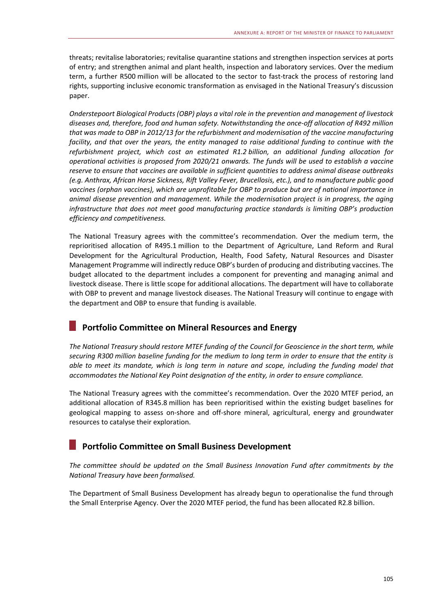threats; revitalise laboratories; revitalise quarantine stations and strengthen inspection services at ports of entry; and strengthen animal and plant health, inspection and laboratory services. Over the medium term, a further R500 million will be allocated to the sector to fast-track the process of restoring land rights, supporting inclusive economic transformation as envisaged in the National Treasury's discussion paper.

*Onderstepoort Biological Products (OBP) plays a vital role in the prevention and management of livestock diseases and, therefore, food and human safety. Notwithstanding the once-off allocation of R492 million that was made to OBP in 2012/13 for the refurbishment and modernisation of the vaccine manufacturing facility, and that over the years, the entity managed to raise additional funding to continue with the refurbishment project, which cost an estimated R1.2 billion, an additional funding allocation for operational activities is proposed from 2020/21 onwards. The funds will be used to establish a vaccine reserve to ensure that vaccines are available in sufficient quantities to address animal disease outbreaks (e.g. Anthrax, African Horse Sickness, Rift Valley Fever, Brucellosis, etc.), and to manufacture public good vaccines (orphan vaccines), which are unprofitable for OBP to produce but are of national importance in animal disease prevention and management. While the modernisation project is in progress, the aging infrastructure that does not meet good manufacturing practice standards is limiting OBP's production efficiency and competitiveness.* 

The National Treasury agrees with the committee's recommendation. Over the medium term, the reprioritised allocation of R495.1 million to the Department of Agriculture, Land Reform and Rural Development for the Agricultural Production, Health, Food Safety, Natural Resources and Disaster Management Programme will indirectly reduce OBP's burden of producing and distributing vaccines. The budget allocated to the department includes a component for preventing and managing animal and livestock disease. There is little scope for additional allocations. The department will have to collaborate with OBP to prevent and manage livestock diseases. The National Treasury will continue to engage with the department and OBP to ensure that funding is available.

#### **Portfolio Committee on Mineral Resources and Energy**

*The National Treasury should restore MTEF funding of the Council for Geoscience in the short term, while securing R300 million baseline funding for the medium to long term in order to ensure that the entity is able to meet its mandate, which is long term in nature and scope, including the funding model that accommodates the National Key Point designation of the entity, in order to ensure compliance.* 

The National Treasury agrees with the committee's recommendation. Over the 2020 MTEF period, an additional allocation of R345.8 million has been reprioritised within the existing budget baselines for geological mapping to assess on-shore and off-shore mineral, agricultural, energy and groundwater resources to catalyse their exploration.

#### **Portfolio Committee on Small Business Development**

*The committee should be updated on the Small Business Innovation Fund after commitments by the National Treasury have been formalised.* 

The Department of Small Business Development has already begun to operationalise the fund through the Small Enterprise Agency. Over the 2020 MTEF period, the fund has been allocated R2.8 billion.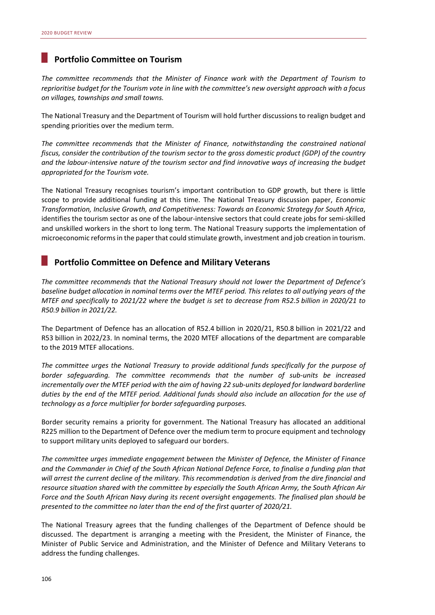#### **Portfolio Committee on Tourism**

*The committee recommends that the Minister of Finance work with the Department of Tourism to reprioritise budget for the Tourism vote in line with the committee's new oversight approach with a focus on villages, townships and small towns.* 

The National Treasury and the Department of Tourism will hold further discussions to realign budget and spending priorities over the medium term.

*The committee recommends that the Minister of Finance, notwithstanding the constrained national fiscus, consider the contribution of the tourism sector to the gross domestic product (GDP) of the country and the labour-intensive nature of the tourism sector and find innovative ways of increasing the budget appropriated for the Tourism vote.* 

The National Treasury recognises tourism's important contribution to GDP growth, but there is little scope to provide additional funding at this time. The National Treasury discussion paper, *Economic Transformation, Inclusive Growth, and Competitiveness: Towards an Economic Strategy for South Africa*, identifies the tourism sector as one of the labour-intensive sectors that could create jobs for semi-skilled and unskilled workers in the short to long term. The National Treasury supports the implementation of microeconomic reforms in the paper that could stimulate growth, investment and job creation in tourism.

#### **Portfolio Committee on Defence and Military Veterans**

*The committee recommends that the National Treasury should not lower the Department of Defence's baseline budget allocation in nominal terms over the MTEF period. This relates to all outlying years of the MTEF and specifically to 2021/22 where the budget is set to decrease from R52.5 billion in 2020/21 to R50.9 billion in 2021/22.* 

The Department of Defence has an allocation of R52.4 billion in 2020/21, R50.8 billion in 2021/22 and R53 billion in 2022/23. In nominal terms, the 2020 MTEF allocations of the department are comparable to the 2019 MTEF allocations.

*The committee urges the National Treasury to provide additional funds specifically for the purpose of border safeguarding. The committee recommends that the number of sub-units be increased incrementally over the MTEF period with the aim of having 22 sub-units deployed for landward borderline duties by the end of the MTEF period. Additional funds should also include an allocation for the use of technology as a force multiplier for border safeguarding purposes.* 

Border security remains a priority for government. The National Treasury has allocated an additional R225 million to the Department of Defence over the medium term to procure equipment and technology to support military units deployed to safeguard our borders.

*The committee urges immediate engagement between the Minister of Defence, the Minister of Finance and the Commander in Chief of the South African National Defence Force, to finalise a funding plan that will arrest the current decline of the military. This recommendation is derived from the dire financial and resource situation shared with the committee by especially the South African Army, the South African Air Force and the South African Navy during its recent oversight engagements. The finalised plan should be presented to the committee no later than the end of the first quarter of 2020/21.* 

The National Treasury agrees that the funding challenges of the Department of Defence should be discussed. The department is arranging a meeting with the President, the Minister of Finance, the Minister of Public Service and Administration, and the Minister of Defence and Military Veterans to address the funding challenges.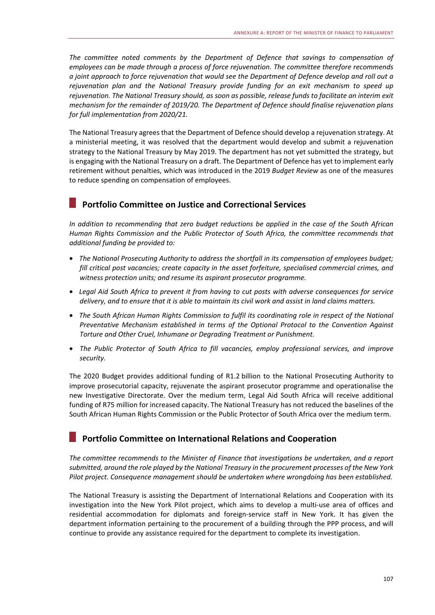The committee noted comments by the Department of Defence that savings to compensation of *employees can be made through a process of force rejuvenation. The committee therefore recommends a joint approach to force rejuvenation that would see the Department of Defence develop and roll out a rejuvenation plan and the National Treasury provide funding for an exit mechanism to speed up rejuvenation. The National Treasury should, as soon as possible, release funds to facilitate an interim exit mechanism for the remainder of 2019/20. The Department of Defence should finalise rejuvenation plans for full implementation from 2020/21.* 

The National Treasury agrees that the Department of Defence should develop a rejuvenation strategy. At a ministerial meeting, it was resolved that the department would develop and submit a rejuvenation strategy to the National Treasury by May 2019. The department has not yet submitted the strategy, but is engaging with the National Treasury on a draft. The Department of Defence has yet to implement early retirement without penalties, which was introduced in the 2019 *Budget Review* as one of the measures to reduce spending on compensation of employees.

# **Portfolio Committee on Justice and Correctional Services**

*In addition to recommending that zero budget reductions be applied in the case of the South African Human Rights Commission and the Public Protector of South Africa, the committee recommends that additional funding be provided to:* 

- *The National Prosecuting Authority to address the shortfall in its compensation of employees budget; fill critical post vacancies; create capacity in the asset forfeiture, specialised commercial crimes, and witness protection units; and resume its aspirant prosecutor programme.*
- *Legal Aid South Africa to prevent it from having to cut posts with adverse consequences for service delivery, and to ensure that it is able to maintain its civil work and assist in land claims matters.*
- *The South African Human Rights Commission to fulfil its coordinating role in respect of the National Preventative Mechanism established in terms of the Optional Protocol to the Convention Against Torture and Other Cruel, Inhumane or Degrading Treatment or Punishment.*
- *The Public Protector of South Africa to fill vacancies, employ professional services, and improve security.*

The 2020 Budget provides additional funding of R1.2 billion to the National Prosecuting Authority to improve prosecutorial capacity, rejuvenate the aspirant prosecutor programme and operationalise the new Investigative Directorate. Over the medium term, Legal Aid South Africa will receive additional funding of R75 million for increased capacity. The National Treasury has not reduced the baselines of the South African Human Rights Commission or the Public Protector of South Africa over the medium term.

#### **Portfolio Committee on International Relations and Cooperation**

*The committee recommends to the Minister of Finance that investigations be undertaken, and a report submitted, around the role played by the National Treasury in the procurement processes of the New York Pilot project. Consequence management should be undertaken where wrongdoing has been established.* 

The National Treasury is assisting the Department of International Relations and Cooperation with its investigation into the New York Pilot project, which aims to develop a multi-use area of offices and residential accommodation for diplomats and foreign-service staff in New York. It has given the department information pertaining to the procurement of a building through the PPP process, and will continue to provide any assistance required for the department to complete its investigation.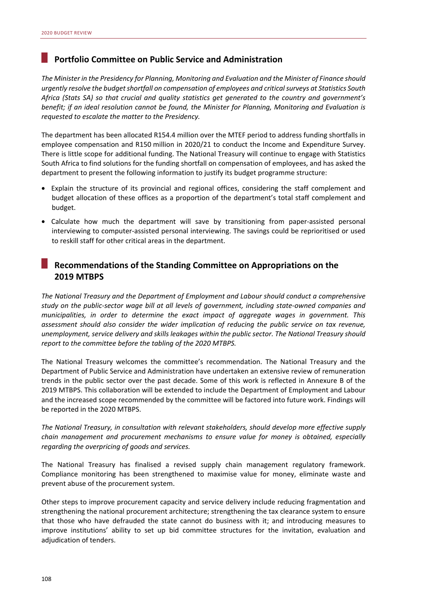#### **Portfolio Committee on Public Service and Administration**

*The Minister in the Presidency for Planning, Monitoring and Evaluation and the Minister of Finance should urgently resolve the budget shortfall on compensation of employees and critical surveys at Statistics South Africa (Stats SA) so that crucial and quality statistics get generated to the country and government's benefit; if an ideal resolution cannot be found, the Minister for Planning, Monitoring and Evaluation is requested to escalate the matter to the Presidency.* 

The department has been allocated R154.4 million over the MTEF period to address funding shortfalls in employee compensation and R150 million in 2020/21 to conduct the Income and Expenditure Survey. There is little scope for additional funding. The National Treasury will continue to engage with Statistics South Africa to find solutions for the funding shortfall on compensation of employees, and has asked the department to present the following information to justify its budget programme structure:

- Explain the structure of its provincial and regional offices, considering the staff complement and budget allocation of these offices as a proportion of the department's total staff complement and budget.
- Calculate how much the department will save by transitioning from paper-assisted personal interviewing to computer-assisted personal interviewing. The savings could be reprioritised or used to reskill staff for other critical areas in the department.

#### **Recommendations of the Standing Committee on Appropriations on the 2019 MTBPS**

*The National Treasury and the Department of Employment and Labour should conduct a comprehensive study on the public-sector wage bill at all levels of government, including state-owned companies and municipalities, in order to determine the exact impact of aggregate wages in government. This assessment should also consider the wider implication of reducing the public service on tax revenue, unemployment, service delivery and skills leakages within the public sector. The National Treasury should report to the committee before the tabling of the 2020 MTBPS.* 

The National Treasury welcomes the committee's recommendation. The National Treasury and the Department of Public Service and Administration have undertaken an extensive review of remuneration trends in the public sector over the past decade. Some of this work is reflected in Annexure B of the 2019 MTBPS. This collaboration will be extended to include the Department of Employment and Labour and the increased scope recommended by the committee will be factored into future work. Findings will be reported in the 2020 MTBPS.

*The National Treasury, in consultation with relevant stakeholders, should develop more effective supply chain management and procurement mechanisms to ensure value for money is obtained, especially regarding the overpricing of goods and services.* 

The National Treasury has finalised a revised supply chain management regulatory framework. Compliance monitoring has been strengthened to maximise value for money, eliminate waste and prevent abuse of the procurement system.

Other steps to improve procurement capacity and service delivery include reducing fragmentation and strengthening the national procurement architecture; strengthening the tax clearance system to ensure that those who have defrauded the state cannot do business with it; and introducing measures to improve institutions' ability to set up bid committee structures for the invitation, evaluation and adjudication of tenders.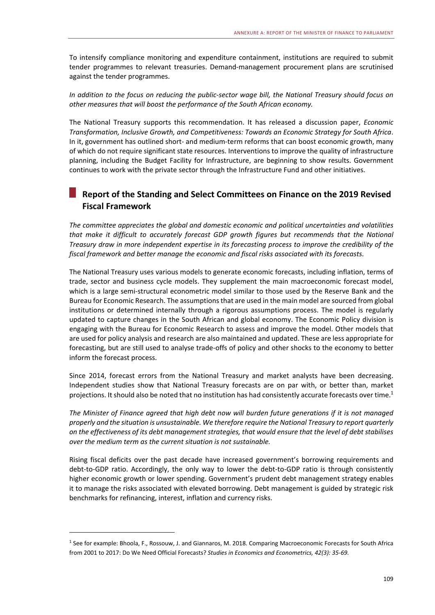To intensify compliance monitoring and expenditure containment, institutions are required to submit tender programmes to relevant treasuries. Demand-management procurement plans are scrutinised against the tender programmes.

*In addition to the focus on reducing the public-sector wage bill, the National Treasury should focus on other measures that will boost the performance of the South African economy.* 

The National Treasury supports this recommendation. It has released a discussion paper, *Economic Transformation, Inclusive Growth, and Competitiveness: Towards an Economic Strategy for South Africa*. In it, government has outlined short- and medium-term reforms that can boost economic growth, many of which do not require significant state resources. Interventions to improve the quality of infrastructure planning, including the Budget Facility for Infrastructure, are beginning to show results. Government continues to work with the private sector through the Infrastructure Fund and other initiatives.

#### **Report of the Standing and Select Committees on Finance on the 2019 Revised Fiscal Framework**

*The committee appreciates the global and domestic economic and political uncertainties and volatilities that make it difficult to accurately forecast GDP growth figures but recommends that the National Treasury draw in more independent expertise in its forecasting process to improve the credibility of the fiscal framework and better manage the economic and fiscal risks associated with its forecasts.* 

The National Treasury uses various models to generate economic forecasts, including inflation, terms of trade, sector and business cycle models. They supplement the main macroeconomic forecast model, which is a large semi-structural econometric model similar to those used by the Reserve Bank and the Bureau for Economic Research. The assumptions that are used in the main model are sourced from global institutions or determined internally through a rigorous assumptions process. The model is regularly updated to capture changes in the South African and global economy. The Economic Policy division is engaging with the Bureau for Economic Research to assess and improve the model. Other models that are used for policy analysis and research are also maintained and updated. These are less appropriate for forecasting, but are still used to analyse trade-offs of policy and other shocks to the economy to better inform the forecast process.

Since 2014, forecast errors from the National Treasury and market analysts have been decreasing. Independent studies show that National Treasury forecasts are on par with, or better than, market projections. It should also be noted that no institution has had consistently accurate forecasts over time.<sup>1</sup>

*The Minister of Finance agreed that high debt now will burden future generations if it is not managed properly and the situation is unsustainable. We therefore require the National Treasury to report quarterly on the effectiveness of its debt management strategies, that would ensure that the level of debt stabilises over the medium term as the current situation is not sustainable.* 

Rising fiscal deficits over the past decade have increased government's borrowing requirements and debt-to-GDP ratio. Accordingly, the only way to lower the debt-to-GDP ratio is through consistently higher economic growth or lower spending. Government's prudent debt management strategy enables it to manage the risks associated with elevated borrowing. Debt management is guided by strategic risk benchmarks for refinancing, interest, inflation and currency risks.

-

<sup>1</sup> See for example: Bhoola, F., Rossouw, J. and Giannaros, M. 2018. Comparing Macroeconomic Forecasts for South Africa from 2001 to 2017: Do We Need Official Forecasts? *Studies in Economics and Econometrics, 42(3): 35-69.*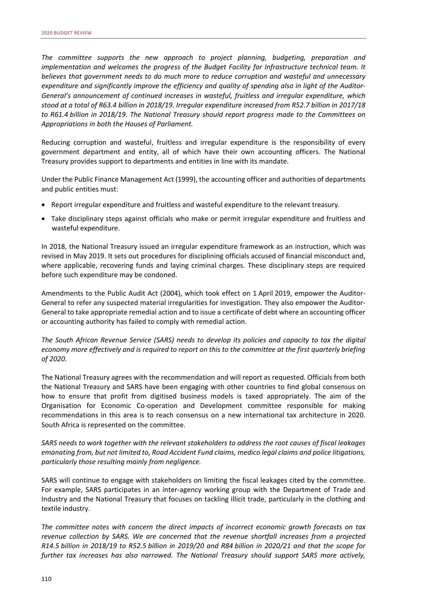*The committee supports the new approach to project planning, budgeting, preparation and implementation and welcomes the progress of the Budget Facility for Infrastructure technical team. It believes that government needs to do much more to reduce corruption and wasteful and unnecessary expenditure and significantly improve the efficiency and quality of spending also in light of the Auditor-General's announcement of continued increases in wasteful, fruitless and irregular expenditure, which stood at a total of R63.4 billion in 2018/19. Irregular expenditure increased from R52.7 billion in 2017/18 to R61.4 billion in 2018/19. The National Treasury should report progress made to the Committees on Appropriations in both the Houses of Parliament.* 

Reducing corruption and wasteful, fruitless and irregular expenditure is the responsibility of every government department and entity, all of which have their own accounting officers. The National Treasury provides support to departments and entities in line with its mandate.

Under the Public Finance Management Act (1999), the accounting officer and authorities of departments and public entities must:

- Report irregular expenditure and fruitless and wasteful expenditure to the relevant treasury.
- Take disciplinary steps against officials who make or permit irregular expenditure and fruitless and wasteful expenditure.

In 2018, the National Treasury issued an irregular expenditure framework as an instruction, which was revised in May 2019. It sets out procedures for disciplining officials accused of financial misconduct and, where applicable, recovering funds and laying criminal charges. These disciplinary steps are required before such expenditure may be condoned.

Amendments to the Public Audit Act (2004), which took effect on 1 April 2019, empower the Auditor-General to refer any suspected material irregularities for investigation. They also empower the Auditor-General to take appropriate remedial action and to issue a certificate of debt where an accounting officer or accounting authority has failed to comply with remedial action.

*The South African Revenue Service (SARS) needs to develop its policies and capacity to tax the digital economy more effectively and is required to report on this to the committee at the first quarterly briefing of 2020.* 

The National Treasury agrees with the recommendation and will report as requested. Officials from both the National Treasury and SARS have been engaging with other countries to find global consensus on how to ensure that profit from digitised business models is taxed appropriately. The aim of the Organisation for Economic Co-operation and Development committee responsible for making recommendations in this area is to reach consensus on a new international tax architecture in 2020. South Africa is represented on the committee.

*SARS needs to work together with the relevant stakeholders to address the root causes of fiscal leakages emanating from, but not limited to, Road Accident Fund claims, medico legal claims and police litigations, particularly those resulting mainly from negligence.* 

SARS will continue to engage with stakeholders on limiting the fiscal leakages cited by the committee. For example, SARS participates in an inter-agency working group with the Department of Trade and Industry and the National Treasury that focuses on tackling illicit trade, particularly in the clothing and textile industry.

*The committee notes with concern the direct impacts of incorrect economic growth forecasts on tax revenue collection by SARS. We are concerned that the revenue shortfall increases from a projected R14.5 billion in 2018/19 to R52.5 billion in 2019/20 and R84 billion in 2020/21 and that the scope for further tax increases has also narrowed. The National Treasury should support SARS more actively,*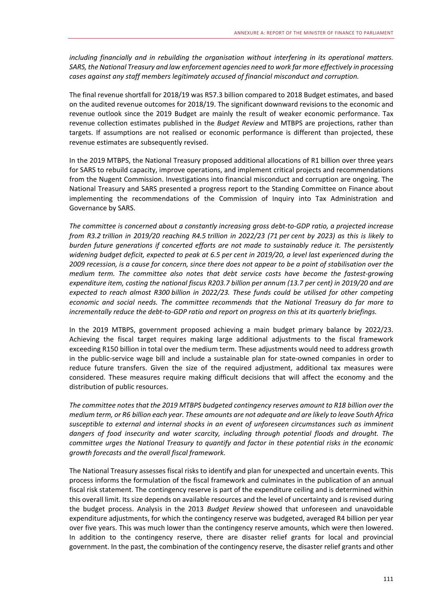*including financially and in rebuilding the organisation without interfering in its operational matters. SARS, the National Treasury and law enforcement agencies need to work far more effectively in processing cases against any staff members legitimately accused of financial misconduct and corruption.* 

The final revenue shortfall for 2018/19 was R57.3 billion compared to 2018 Budget estimates, and based on the audited revenue outcomes for 2018/19. The significant downward revisions to the economic and revenue outlook since the 2019 Budget are mainly the result of weaker economic performance. Tax revenue collection estimates published in the *Budget Review* and MTBPS are projections, rather than targets. If assumptions are not realised or economic performance is different than projected, these revenue estimates are subsequently revised.

In the 2019 MTBPS, the National Treasury proposed additional allocations of R1 billion over three years for SARS to rebuild capacity, improve operations, and implement critical projects and recommendations from the Nugent Commission. Investigations into financial misconduct and corruption are ongoing. The National Treasury and SARS presented a progress report to the Standing Committee on Finance about implementing the recommendations of the Commission of Inquiry into Tax Administration and Governance by SARS.

*The committee is concerned about a constantly increasing gross debt-to-GDP ratio, a projected increase from R3.2 trillion in 2019/20 reaching R4.5 trillion in 2022/23 (71 per cent by 2023) as this is likely to burden future generations if concerted efforts are not made to sustainably reduce it. The persistently widening budget deficit, expected to peak at 6.5 per cent in 2019/20, a level last experienced during the 2009 recession, is a cause for concern, since there does not appear to be a point of stabilisation over the medium term. The committee also notes that debt service costs have become the fastest-growing expenditure item, costing the national fiscus R203.7 billion per annum (13.7 per cent) in 2019/20 and are expected to reach almost R300 billion in 2022/23. These funds could be utilised for other competing economic and social needs. The committee recommends that the National Treasury do far more to incrementally reduce the debt-to-GDP ratio and report on progress on this at its quarterly briefings.* 

In the 2019 MTBPS, government proposed achieving a main budget primary balance by 2022/23. Achieving the fiscal target requires making large additional adjustments to the fiscal framework exceeding R150 billion in total over the medium term. These adjustments would need to address growth in the public-service wage bill and include a sustainable plan for state-owned companies in order to reduce future transfers. Given the size of the required adjustment, additional tax measures were considered. These measures require making difficult decisions that will affect the economy and the distribution of public resources.

*The committee notes that the 2019 MTBPS budgeted contingency reserves amount to R18 billion over the medium term, or R6 billion each year. These amounts are not adequate and are likely to leave South Africa susceptible to external and internal shocks in an event of unforeseen circumstances such as imminent dangers of food insecurity and water scarcity, including through potential floods and drought. The committee urges the National Treasury to quantify and factor in these potential risks in the economic growth forecasts and the overall fiscal framework.* 

The National Treasury assesses fiscal risks to identify and plan for unexpected and uncertain events. This process informs the formulation of the fiscal framework and culminates in the publication of an annual fiscal risk statement. The contingency reserve is part of the expenditure ceiling and is determined within this overall limit. Its size depends on available resources and the level of uncertainty and is revised during the budget process. Analysis in the 2013 *Budget Review* showed that unforeseen and unavoidable expenditure adjustments, for which the contingency reserve was budgeted, averaged R4 billion per year over five years. This was much lower than the contingency reserve amounts, which were then lowered. In addition to the contingency reserve, there are disaster relief grants for local and provincial government. In the past, the combination of the contingency reserve, the disaster relief grants and other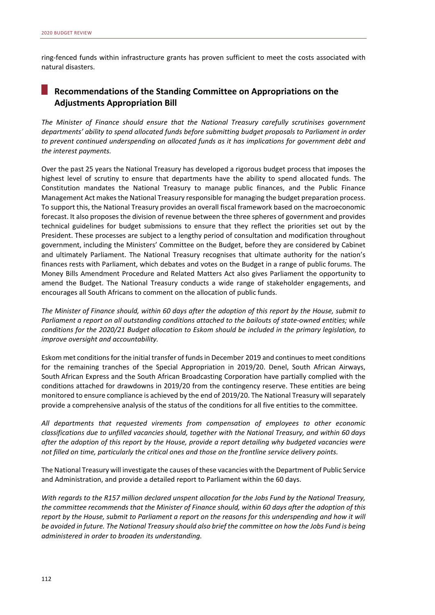ring-fenced funds within infrastructure grants has proven sufficient to meet the costs associated with natural disasters.

#### **Recommendations of the Standing Committee on Appropriations on the Adjustments Appropriation Bill**

*The Minister of Finance should ensure that the National Treasury carefully scrutinises government departments' ability to spend allocated funds before submitting budget proposals to Parliament in order to prevent continued underspending on allocated funds as it has implications for government debt and the interest payments.* 

Over the past 25 years the National Treasury has developed a rigorous budget process that imposes the highest level of scrutiny to ensure that departments have the ability to spend allocated funds. The Constitution mandates the National Treasury to manage public finances, and the Public Finance Management Act makes the National Treasury responsible for managing the budget preparation process. To support this, the National Treasury provides an overall fiscal framework based on the macroeconomic forecast. It also proposes the division of revenue between the three spheres of government and provides technical guidelines for budget submissions to ensure that they reflect the priorities set out by the President. These processes are subject to a lengthy period of consultation and modification throughout government, including the Ministers' Committee on the Budget, before they are considered by Cabinet and ultimately Parliament. The National Treasury recognises that ultimate authority for the nation's finances rests with Parliament, which debates and votes on the Budget in a range of public forums. The Money Bills Amendment Procedure and Related Matters Act also gives Parliament the opportunity to amend the Budget. The National Treasury conducts a wide range of stakeholder engagements, and encourages all South Africans to comment on the allocation of public funds.

*The Minister of Finance should, within 60 days after the adoption of this report by the House, submit to Parliament a report on all outstanding conditions attached to the bailouts of state-owned entities; while conditions for the 2020/21 Budget allocation to Eskom should be included in the primary legislation, to improve oversight and accountability.* 

Eskom met conditions for the initial transfer of funds in December 2019 and continues to meet conditions for the remaining tranches of the Special Appropriation in 2019/20. Denel, South African Airways, South African Express and the South African Broadcasting Corporation have partially complied with the conditions attached for drawdowns in 2019/20 from the contingency reserve. These entities are being monitored to ensure compliance is achieved by the end of 2019/20. The National Treasury will separately provide a comprehensive analysis of the status of the conditions for all five entities to the committee.

*All departments that requested virements from compensation of employees to other economic classifications due to unfilled vacancies should, together with the National Treasury, and within 60 days after the adoption of this report by the House, provide a report detailing why budgeted vacancies were not filled on time, particularly the critical ones and those on the frontline service delivery points.* 

The National Treasury will investigate the causes of these vacancies with the Department of Public Service and Administration, and provide a detailed report to Parliament within the 60 days.

*With regards to the R157 million declared unspent allocation for the Jobs Fund by the National Treasury, the committee recommends that the Minister of Finance should, within 60 days after the adoption of this report by the House, submit to Parliament a report on the reasons for this underspending and how it will be avoided in future. The National Treasury should also brief the committee on how the Jobs Fund is being administered in order to broaden its understanding.*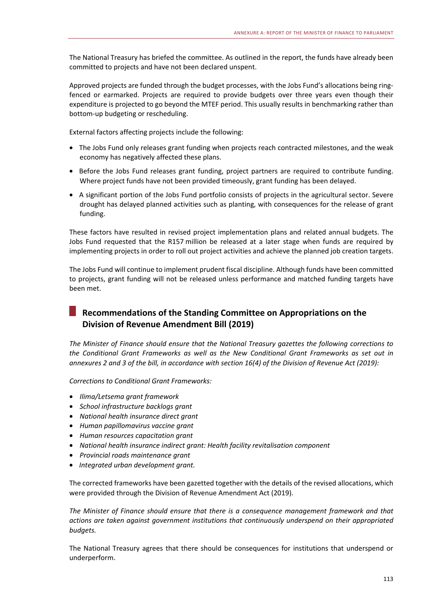The National Treasury has briefed the committee. As outlined in the report, the funds have already been committed to projects and have not been declared unspent.

Approved projects are funded through the budget processes, with the Jobs Fund's allocations being ringfenced or earmarked. Projects are required to provide budgets over three years even though their expenditure is projected to go beyond the MTEF period. This usually results in benchmarking rather than bottom-up budgeting or rescheduling.

External factors affecting projects include the following:

- The Jobs Fund only releases grant funding when projects reach contracted milestones, and the weak economy has negatively affected these plans.
- Before the Jobs Fund releases grant funding, project partners are required to contribute funding. Where project funds have not been provided timeously, grant funding has been delayed.
- A significant portion of the Jobs Fund portfolio consists of projects in the agricultural sector. Severe drought has delayed planned activities such as planting, with consequences for the release of grant funding.

These factors have resulted in revised project implementation plans and related annual budgets. The Jobs Fund requested that the R157 million be released at a later stage when funds are required by implementing projects in order to roll out project activities and achieve the planned job creation targets.

The Jobs Fund will continue to implement prudent fiscal discipline. Although funds have been committed to projects, grant funding will not be released unless performance and matched funding targets have been met.

# **Recommendations of the Standing Committee on Appropriations on the Division of Revenue Amendment Bill (2019)**

*The Minister of Finance should ensure that the National Treasury gazettes the following corrections to the Conditional Grant Frameworks as well as the New Conditional Grant Frameworks as set out in annexures 2 and 3 of the bill, in accordance with section 16(4) of the Division of Revenue Act (2019):* 

*Corrections to Conditional Grant Frameworks:* 

- *Ilima/Letsema grant framework*
- *School infrastructure backlogs grant*
- *National health insurance direct grant*
- *Human papillomavirus vaccine grant*
- *Human resources capacitation grant*
- *National health insurance indirect grant: Health facility revitalisation component*
- *Provincial roads maintenance grant*
- *Integrated urban development grant.*

The corrected frameworks have been gazetted together with the details of the revised allocations, which were provided through the Division of Revenue Amendment Act (2019).

*The Minister of Finance should ensure that there is a consequence management framework and that actions are taken against government institutions that continuously underspend on their appropriated budgets.* 

The National Treasury agrees that there should be consequences for institutions that underspend or underperform.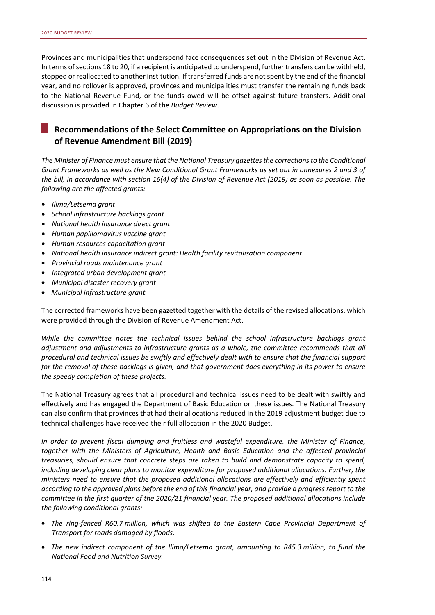Provinces and municipalities that underspend face consequences set out in the Division of Revenue Act. In terms of sections 18 to 20, if a recipient is anticipated to underspend, further transfers can be withheld, stopped or reallocated to another institution. If transferred funds are not spent by the end of the financial year, and no rollover is approved, provinces and municipalities must transfer the remaining funds back to the National Revenue Fund, or the funds owed will be offset against future transfers. Additional discussion is provided in Chapter 6 of the *Budget Review*.

#### **Recommendations of the Select Committee on Appropriations on the Division of Revenue Amendment Bill (2019)**

*The Minister of Finance must ensure that the National Treasury gazettes the corrections to the Conditional Grant Frameworks as well as the New Conditional Grant Frameworks as set out in annexures 2 and 3 of the bill, in accordance with section 16(4) of the Division of Revenue Act (2019) as soon as possible. The following are the affected grants:* 

- *Ilima/Letsema grant*
- *School infrastructure backlogs grant*
- *National health insurance direct grant*
- *Human papillomavirus vaccine grant*
- *Human resources capacitation grant*
- *National health insurance indirect grant: Health facility revitalisation component*
- *Provincial roads maintenance grant*
- *Integrated urban development grant*
- *Municipal disaster recovery grant*
- *Municipal infrastructure grant.*

The corrected frameworks have been gazetted together with the details of the revised allocations, which were provided through the Division of Revenue Amendment Act.

*While the committee notes the technical issues behind the school infrastructure backlogs grant adjustment and adjustments to infrastructure grants as a whole, the committee recommends that all procedural and technical issues be swiftly and effectively dealt with to ensure that the financial support for the removal of these backlogs is given, and that government does everything in its power to ensure the speedy completion of these projects.* 

The National Treasury agrees that all procedural and technical issues need to be dealt with swiftly and effectively and has engaged the Department of Basic Education on these issues. The National Treasury can also confirm that provinces that had their allocations reduced in the 2019 adjustment budget due to technical challenges have received their full allocation in the 2020 Budget.

*In order to prevent fiscal dumping and fruitless and wasteful expenditure, the Minister of Finance, together with the Ministers of Agriculture, Health and Basic Education and the affected provincial treasuries, should ensure that concrete steps are taken to build and demonstrate capacity to spend, including developing clear plans to monitor expenditure for proposed additional allocations. Further, the ministers need to ensure that the proposed additional allocations are effectively and efficiently spent according to the approved plans before the end of this financial year, and provide a progress report to the committee in the first quarter of the 2020/21 financial year. The proposed additional allocations include the following conditional grants:* 

- *The ring-fenced R60.7 million, which was shifted to the Eastern Cape Provincial Department of Transport for roads damaged by floods.*
- *The new indirect component of the Ilima/Letsema grant, amounting to R45.3 million, to fund the National Food and Nutrition Survey.*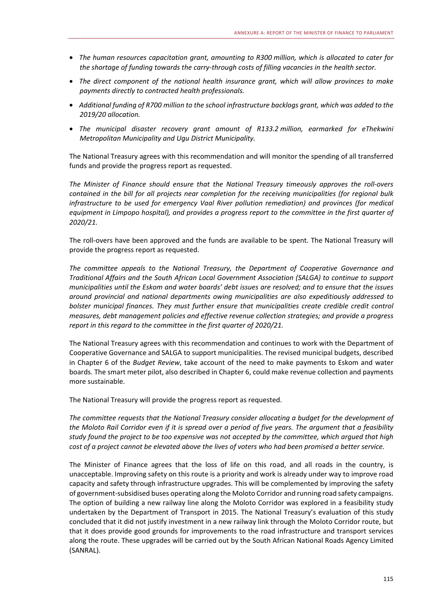- *The human resources capacitation grant, amounting to R300 million, which is allocated to cater for the shortage of funding towards the carry-through costs of filling vacancies in the health sector.*
- *The direct component of the national health insurance grant, which will allow provinces to make payments directly to contracted health professionals.*
- *Additional funding of R700 million to the school infrastructure backlogs grant, which was added to the 2019/20 allocation.*
- *The municipal disaster recovery grant amount of R133.2 million, earmarked for eThekwini Metropolitan Municipality and Ugu District Municipality.*

The National Treasury agrees with this recommendation and will monitor the spending of all transferred funds and provide the progress report as requested.

*The Minister of Finance should ensure that the National Treasury timeously approves the roll-overs contained in the bill for all projects near completion for the receiving municipalities (for regional bulk infrastructure to be used for emergency Vaal River pollution remediation) and provinces (for medical equipment in Limpopo hospital), and provides a progress report to the committee in the first quarter of 2020/21.* 

The roll-overs have been approved and the funds are available to be spent. The National Treasury will provide the progress report as requested.

*The committee appeals to the National Treasury, the Department of Cooperative Governance and Traditional Affairs and the South African Local Government Association (SALGA) to continue to support municipalities until the Eskom and water boards' debt issues are resolved; and to ensure that the issues around provincial and national departments owing municipalities are also expeditiously addressed to bolster municipal finances. They must further ensure that municipalities create credible credit control measures, debt management policies and effective revenue collection strategies; and provide a progress report in this regard to the committee in the first quarter of 2020/21.* 

The National Treasury agrees with this recommendation and continues to work with the Department of Cooperative Governance and SALGA to support municipalities. The revised municipal budgets, described in Chapter 6 of the *Budget Review*, take account of the need to make payments to Eskom and water boards. The smart meter pilot, also described in Chapter 6, could make revenue collection and payments more sustainable.

The National Treasury will provide the progress report as requested.

*The committee requests that the National Treasury consider allocating a budget for the development of the Moloto Rail Corridor even if it is spread over a period of five years. The argument that a feasibility study found the project to be too expensive was not accepted by the committee, which argued that high cost of a project cannot be elevated above the lives of voters who had been promised a better service.* 

The Minister of Finance agrees that the loss of life on this road, and all roads in the country, is unacceptable. Improving safety on this route is a priority and work is already under way to improve road capacity and safety through infrastructure upgrades. This will be complemented by improving the safety of government-subsidised buses operating along the Moloto Corridor and running road safety campaigns. The option of building a new railway line along the Moloto Corridor was explored in a feasibility study undertaken by the Department of Transport in 2015. The National Treasury's evaluation of this study concluded that it did not justify investment in a new railway link through the Moloto Corridor route, but that it does provide good grounds for improvements to the road infrastructure and transport services along the route. These upgrades will be carried out by the South African National Roads Agency Limited (SANRAL).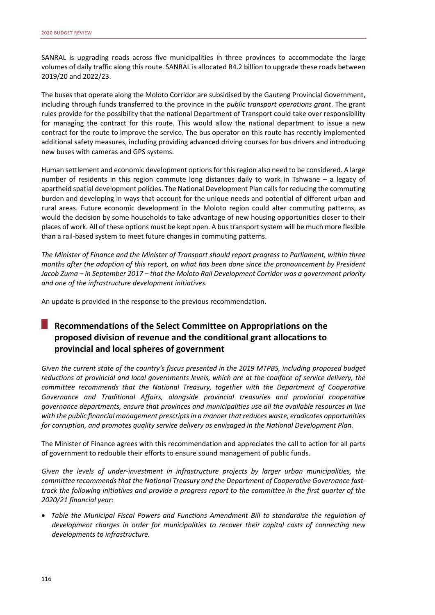SANRAL is upgrading roads across five municipalities in three provinces to accommodate the large volumes of daily traffic along this route. SANRAL is allocated R4.2 billion to upgrade these roads between 2019/20 and 2022/23.

The buses that operate along the Moloto Corridor are subsidised by the Gauteng Provincial Government, including through funds transferred to the province in the *public transport operations grant*. The grant rules provide for the possibility that the national Department of Transport could take over responsibility for managing the contract for this route. This would allow the national department to issue a new contract for the route to improve the service. The bus operator on this route has recently implemented additional safety measures, including providing advanced driving courses for bus drivers and introducing new buses with cameras and GPS systems.

Human settlement and economic development options for this region also need to be considered. A large number of residents in this region commute long distances daily to work in Tshwane – a legacy of apartheid spatial development policies. The National Development Plan calls for reducing the commuting burden and developing in ways that account for the unique needs and potential of different urban and rural areas. Future economic development in the Moloto region could alter commuting patterns, as would the decision by some households to take advantage of new housing opportunities closer to their places of work. All of these options must be kept open. A bus transport system will be much more flexible than a rail-based system to meet future changes in commuting patterns.

*The Minister of Finance and the Minister of Transport should report progress to Parliament, within three months after the adoption of this report, on what has been done since the pronouncement by President Jacob Zuma – in September 2017 – that the Moloto Rail Development Corridor was a government priority and one of the infrastructure development initiatives.* 

An update is provided in the response to the previous recommendation.

# **Recommendations of the Select Committee on Appropriations on the proposed division of revenue and the conditional grant allocations to provincial and local spheres of government**

*Given the current state of the country's fiscus presented in the 2019 MTPBS, including proposed budget reductions at provincial and local governments levels, which are at the coalface of service delivery, the committee recommends that the National Treasury, together with the Department of Cooperative Governance and Traditional Affairs, alongside provincial treasuries and provincial cooperative governance departments, ensure that provinces and municipalities use all the available resources in line with the public financial management prescripts in a manner that reduces waste, eradicates opportunities for corruption, and promotes quality service delivery as envisaged in the National Development Plan.* 

The Minister of Finance agrees with this recommendation and appreciates the call to action for all parts of government to redouble their efforts to ensure sound management of public funds.

*Given the levels of under-investment in infrastructure projects by larger urban municipalities, the committee recommends that the National Treasury and the Department of Cooperative Governance fasttrack the following initiatives and provide a progress report to the committee in the first quarter of the 2020/21 financial year:* 

• *Table the Municipal Fiscal Powers and Functions Amendment Bill to standardise the regulation of development charges in order for municipalities to recover their capital costs of connecting new developments to infrastructure.*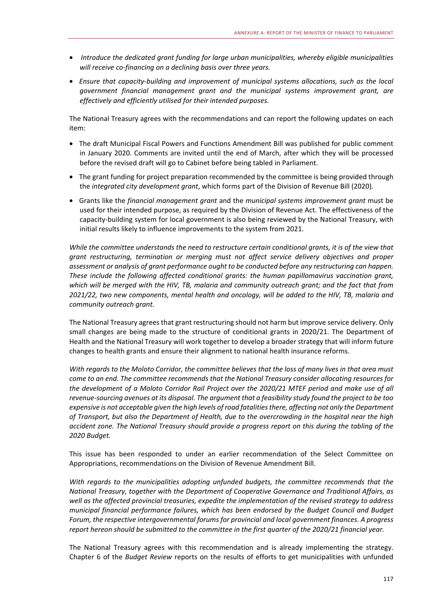- • *Introduce the dedicated grant funding for large urban municipalities, whereby eligible municipalities will receive co-financing on a declining basis over three years.*
- *Ensure that capacity-building and improvement of municipal systems allocations, such as the local government financial management grant and the municipal systems improvement grant, are effectively and efficiently utilised for their intended purposes.*

The National Treasury agrees with the recommendations and can report the following updates on each item:

- The draft Municipal Fiscal Powers and Functions Amendment Bill was published for public comment in January 2020. Comments are invited until the end of March, after which they will be processed before the revised draft will go to Cabinet before being tabled in Parliament.
- The grant funding for project preparation recommended by the committee is being provided through the *integrated city development grant*, which forms part of the Division of Revenue Bill (2020).
- Grants like the *financial management grant* and the *municipal systems improvement grant* must be used for their intended purpose, as required by the Division of Revenue Act. The effectiveness of the capacity-building system for local government is also being reviewed by the National Treasury, with initial results likely to influence improvements to the system from 2021.

*While the committee understands the need to restructure certain conditional grants, it is of the view that grant restructuring, termination or merging must not affect service delivery objectives and proper assessment or analysis of grant performance ought to be conducted before any restructuring can happen. These include the following affected conditional grants: the human papillomavirus vaccination grant, which will be merged with the HIV, TB, malaria and community outreach grant; and the fact that from 2021/22, two new components, mental health and oncology, will be added to the HIV, TB, malaria and community outreach grant.* 

The National Treasury agrees that grant restructuring should not harm but improve service delivery. Only small changes are being made to the structure of conditional grants in 2020/21. The Department of Health and the National Treasury will work together to develop a broader strategy that will inform future changes to health grants and ensure their alignment to national health insurance reforms.

*With regards to the Moloto Corridor, the committee believes that the loss of many lives in that area must come to an end. The committee recommends that the National Treasury consider allocating resources for the development of a Moloto Corridor Rail Project over the 2020/21 MTEF period and make use of all revenue-sourcing avenues at its disposal. The argument that a feasibility study found the project to be too expensive is not acceptable given the high levels of road fatalities there, affecting not only the Department of Transport, but also the Department of Health, due to the overcrowding in the hospital near the high accident zone. The National Treasury should provide a progress report on this during the tabling of the 2020 Budget.* 

This issue has been responded to under an earlier recommendation of the Select Committee on Appropriations, recommendations on the Division of Revenue Amendment Bill.

*With regards to the municipalities adopting unfunded budgets, the committee recommends that the National Treasury, together with the Department of Cooperative Governance and Traditional Affairs, as well as the affected provincial treasuries, expedite the implementation of the revised strategy to address municipal financial performance failures, which has been endorsed by the Budget Council and Budget Forum, the respective intergovernmental forums for provincial and local government finances. A progress report hereon should be submitted to the committee in the first quarter of the 2020/21 financial year.* 

The National Treasury agrees with this recommendation and is already implementing the strategy. Chapter 6 of the *Budget Review* reports on the results of efforts to get municipalities with unfunded